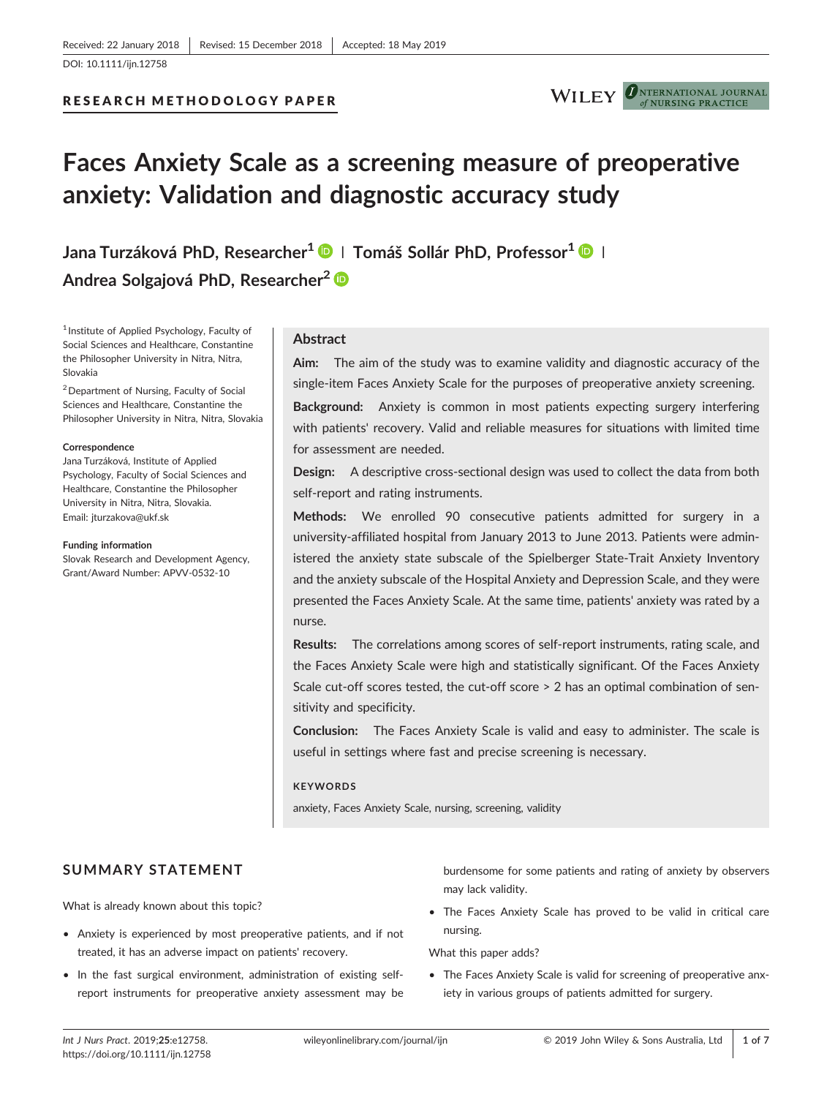# RESEARCH METHODOLOGY PAPER



#### **D**NTERNATIONAL JOURNAL NHR SING PRACTICE

# Faces Anxiety Scale as a screening measure of preoperative anxiety: Validation and diagnostic accuracy study

Jana Turzáková PhD, Researcher<sup>1</sup> D | Tomáš Sollár PhD, Professor<sup>1</sup> D | Andrea Solgajová PhD, Researcher<sup>2</sup> D

<sup>1</sup> Institute of Applied Psychology, Faculty of Social Sciences and Healthcare, Constantine the Philosopher University in Nitra, Nitra, Slovakia

2Department of Nursing, Faculty of Social Sciences and Healthcare, Constantine the Philosopher University in Nitra, Nitra, Slovakia

#### **Correspondence**

Jana Turzáková, Institute of Applied Psychology, Faculty of Social Sciences and Healthcare, Constantine the Philosopher University in Nitra, Nitra, Slovakia. Email: jturzakova@ukf.sk

#### Funding information

Slovak Research and Development Agency, Grant/Award Number: APVV‐0532‐10

#### Abstract

Aim: The aim of the study was to examine validity and diagnostic accuracy of the single‐item Faces Anxiety Scale for the purposes of preoperative anxiety screening.

Background: Anxiety is common in most patients expecting surgery interfering with patients' recovery. Valid and reliable measures for situations with limited time for assessment are needed.

Design: A descriptive cross-sectional design was used to collect the data from both self-report and rating instruments.

Methods: We enrolled 90 consecutive patients admitted for surgery in a university‐affiliated hospital from January 2013 to June 2013. Patients were administered the anxiety state subscale of the Spielberger State‐Trait Anxiety Inventory and the anxiety subscale of the Hospital Anxiety and Depression Scale, and they were presented the Faces Anxiety Scale. At the same time, patients' anxiety was rated by a nurse.

Results: The correlations among scores of self-report instruments, rating scale, and the Faces Anxiety Scale were high and statistically significant. Of the Faces Anxiety Scale cut-off scores tested, the cut-off score > 2 has an optimal combination of sensitivity and specificity.

Conclusion: The Faces Anxiety Scale is valid and easy to administer. The scale is useful in settings where fast and precise screening is necessary.

#### **KEYWORDS**

anxiety, Faces Anxiety Scale, nursing, screening, validity

# SUMMARY STATEMENT

What is already known about this topic?

- Anxiety is experienced by most preoperative patients, and if not treated, it has an adverse impact on patients' recovery.
- In the fast surgical environment, administration of existing self‐ report instruments for preoperative anxiety assessment may be

burdensome for some patients and rating of anxiety by observers may lack validity.

• The Faces Anxiety Scale has proved to be valid in critical care nursing.

What this paper adds?

• The Faces Anxiety Scale is valid for screening of preoperative anxiety in various groups of patients admitted for surgery.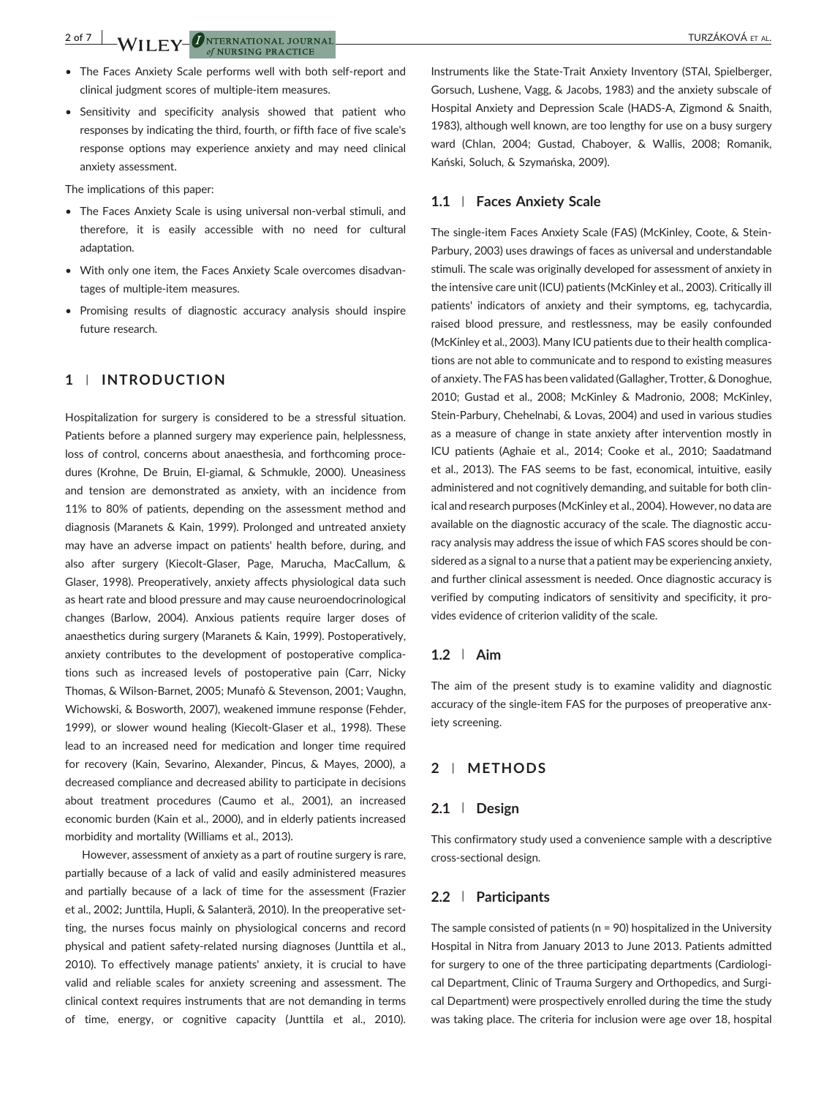2 of 7 WILEY-ONTERNATIONAL JOURNAL  $of$  NURSING PRACTICE

- The Faces Anxiety Scale performs well with both self‐report and clinical judgment scores of multiple‐item measures.
- Sensitivity and specificity analysis showed that patient who responses by indicating the third, fourth, or fifth face of five scale's response options may experience anxiety and may need clinical anxiety assessment.

The implications of this paper:

- The Faces Anxiety Scale is using universal non‐verbal stimuli, and therefore, it is easily accessible with no need for cultural adaptation.
- With only one item, the Faces Anxiety Scale overcomes disadvantages of multiple‐item measures.
- Promising results of diagnostic accuracy analysis should inspire future research.

# 1 | INTRODUCTION

Hospitalization for surgery is considered to be a stressful situation. Patients before a planned surgery may experience pain, helplessness, loss of control, concerns about anaesthesia, and forthcoming procedures (Krohne, De Bruin, El‐giamal, & Schmukle, 2000). Uneasiness and tension are demonstrated as anxiety, with an incidence from 11% to 80% of patients, depending on the assessment method and diagnosis (Maranets & Kain, 1999). Prolonged and untreated anxiety may have an adverse impact on patients' health before, during, and also after surgery (Kiecolt‐Glaser, Page, Marucha, MacCallum, & Glaser, 1998). Preoperatively, anxiety affects physiological data such as heart rate and blood pressure and may cause neuroendocrinological changes (Barlow, 2004). Anxious patients require larger doses of anaesthetics during surgery (Maranets & Kain, 1999). Postoperatively, anxiety contributes to the development of postoperative complications such as increased levels of postoperative pain (Carr, Nicky Thomas, & Wilson‐Barnet, 2005; Munafò & Stevenson, 2001; Vaughn, Wichowski, & Bosworth, 2007), weakened immune response (Fehder, 1999), or slower wound healing (Kiecolt‐Glaser et al., 1998). These lead to an increased need for medication and longer time required for recovery (Kain, Sevarino, Alexander, Pincus, & Mayes, 2000), a decreased compliance and decreased ability to participate in decisions about treatment procedures (Caumo et al., 2001), an increased economic burden (Kain et al., 2000), and in elderly patients increased morbidity and mortality (Williams et al., 2013).

However, assessment of anxiety as a part of routine surgery is rare, partially because of a lack of valid and easily administered measures and partially because of a lack of time for the assessment (Frazier et al., 2002; Junttila, Hupli, & Salanterä, 2010). In the preoperative setting, the nurses focus mainly on physiological concerns and record physical and patient safety-related nursing diagnoses (Junttila et al., 2010). To effectively manage patients' anxiety, it is crucial to have valid and reliable scales for anxiety screening and assessment. The clinical context requires instruments that are not demanding in terms of time, energy, or cognitive capacity (Junttila et al., 2010).

Instruments like the State‐Trait Anxiety Inventory (STAI, Spielberger, Gorsuch, Lushene, Vagg, & Jacobs, 1983) and the anxiety subscale of Hospital Anxiety and Depression Scale (HADS‐A, Zigmond & Snaith, 1983), although well known, are too lengthy for use on a busy surgery ward (Chlan, 2004; Gustad, Chaboyer, & Wallis, 2008; Romanik, Kański, Soluch, & Szymańska, 2009).

## 1.1 | Faces Anxiety Scale

The single‐item Faces Anxiety Scale (FAS) (McKinley, Coote, & Stein‐ Parbury, 2003) uses drawings of faces as universal and understandable stimuli. The scale was originally developed for assessment of anxiety in the intensive care unit (ICU) patients (McKinley et al., 2003). Critically ill patients' indicators of anxiety and their symptoms, eg, tachycardia, raised blood pressure, and restlessness, may be easily confounded (McKinley et al., 2003). Many ICU patients due to their health complications are not able to communicate and to respond to existing measures of anxiety. The FAS has been validated (Gallagher, Trotter, & Donoghue, 2010; Gustad et al., 2008; McKinley & Madronio, 2008; McKinley, Stein‐Parbury, Chehelnabi, & Lovas, 2004) and used in various studies as a measure of change in state anxiety after intervention mostly in ICU patients (Aghaie et al., 2014; Cooke et al., 2010; Saadatmand et al., 2013). The FAS seems to be fast, economical, intuitive, easily administered and not cognitively demanding, and suitable for both clinical and research purposes (McKinley et al., 2004). However, no data are available on the diagnostic accuracy of the scale. The diagnostic accuracy analysis may address the issue of which FAS scores should be considered as a signal to a nurse that a patient may be experiencing anxiety, and further clinical assessment is needed. Once diagnostic accuracy is verified by computing indicators of sensitivity and specificity, it provides evidence of criterion validity of the scale.

#### 1.2 | Aim

The aim of the present study is to examine validity and diagnostic accuracy of the single‐item FAS for the purposes of preoperative anxiety screening.

# 2 | METHODS

## 2.1 | Design

This confirmatory study used a convenience sample with a descriptive cross‐sectional design.

## 2.2 | Participants

The sample consisted of patients ( $n = 90$ ) hospitalized in the University Hospital in Nitra from January 2013 to June 2013. Patients admitted for surgery to one of the three participating departments (Cardiological Department, Clinic of Trauma Surgery and Orthopedics, and Surgical Department) were prospectively enrolled during the time the study was taking place. The criteria for inclusion were age over 18, hospital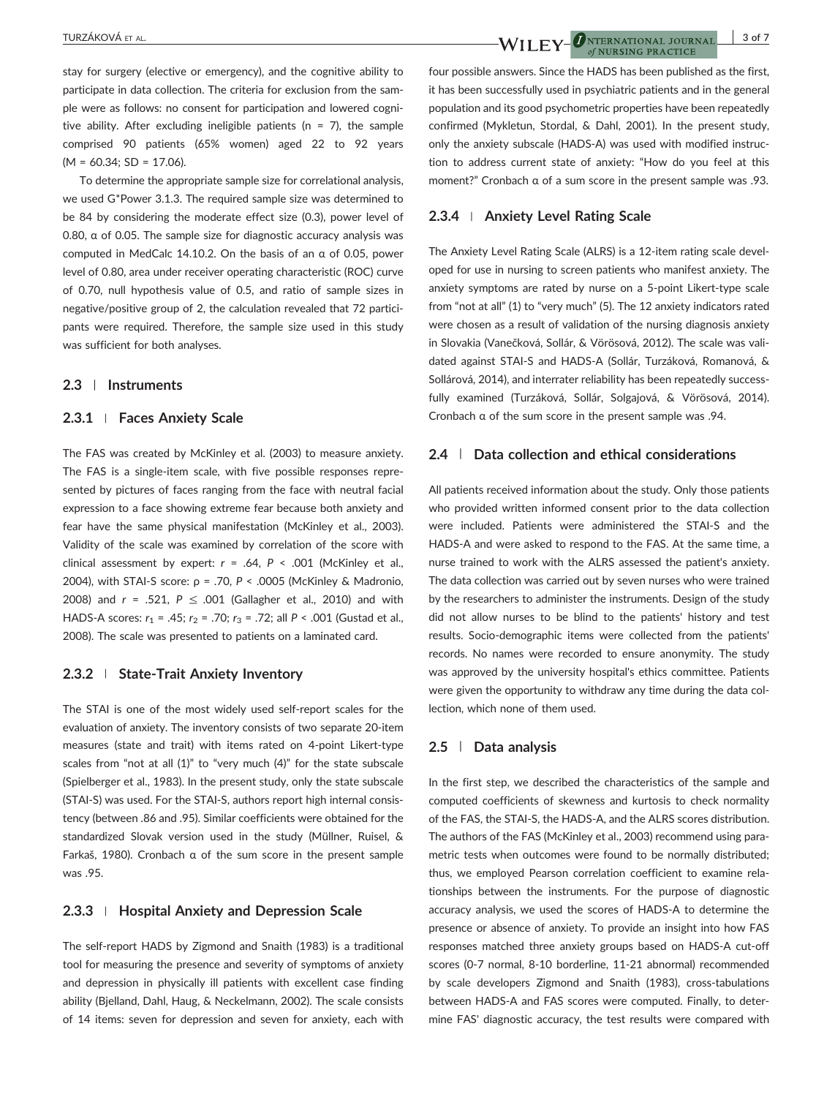stay for surgery (elective or emergency), and the cognitive ability to participate in data collection. The criteria for exclusion from the sample were as follows: no consent for participation and lowered cognitive ability. After excluding ineligible patients ( $n = 7$ ), the sample comprised 90 patients (65% women) aged 22 to 92 years  $(M = 60.34; SD = 17.06)$ .

To determine the appropriate sample size for correlational analysis, we used G\*Power 3.1.3. The required sample size was determined to be 84 by considering the moderate effect size (0.3), power level of 0.80, α of 0.05. The sample size for diagnostic accuracy analysis was computed in MedCalc 14.10.2. On the basis of an α of 0.05, power level of 0.80, area under receiver operating characteristic (ROC) curve of 0.70, null hypothesis value of 0.5, and ratio of sample sizes in negative/positive group of 2, the calculation revealed that 72 participants were required. Therefore, the sample size used in this study was sufficient for both analyses.

## 2.3 | Instruments

## 2.3.1 <sup>|</sup> Faces Anxiety Scale

The FAS was created by McKinley et al. (2003) to measure anxiety. The FAS is a single-item scale, with five possible responses represented by pictures of faces ranging from the face with neutral facial expression to a face showing extreme fear because both anxiety and fear have the same physical manifestation (McKinley et al., 2003). Validity of the scale was examined by correlation of the score with clinical assessment by expert:  $r = .64$ ,  $P < .001$  (McKinley et al., 2004), with STAI‐S score: ρ = .70, P < .0005 (McKinley & Madronio, 2008) and  $r = .521$ ,  $P \le .001$  (Gallagher et al., 2010) and with HADS-A scores:  $r_1 = .45$ ;  $r_2 = .70$ ;  $r_3 = .72$ ; all P < .001 (Gustad et al., 2008). The scale was presented to patients on a laminated card.

## 2.3.2 | State-Trait Anxiety Inventory

The STAI is one of the most widely used self‐report scales for the evaluation of anxiety. The inventory consists of two separate 20‐item measures (state and trait) with items rated on 4‐point Likert‐type scales from "not at all (1)" to "very much (4)" for the state subscale (Spielberger et al., 1983). In the present study, only the state subscale (STAI‐S) was used. For the STAI‐S, authors report high internal consistency (between .86 and .95). Similar coefficients were obtained for the standardized Slovak version used in the study (Müllner, Ruisel, & Farkaš, 1980). Cronbach α of the sum score in the present sample was .95.

#### 2.3.3 | Hospital Anxiety and Depression Scale

The self‐report HADS by Zigmond and Snaith (1983) is a traditional tool for measuring the presence and severity of symptoms of anxiety and depression in physically ill patients with excellent case finding ability (Bjelland, Dahl, Haug, & Neckelmann, 2002). The scale consists of 14 items: seven for depression and seven for anxiety, each with

four possible answers. Since the HADS has been published as the first, it has been successfully used in psychiatric patients and in the general population and its good psychometric properties have been repeatedly confirmed (Mykletun, Stordal, & Dahl, 2001). In the present study, only the anxiety subscale (HADS‐A) was used with modified instruction to address current state of anxiety: "How do you feel at this moment?" Cronbach α of a sum score in the present sample was .93.

## 2.3.4 | Anxiety Level Rating Scale

The Anxiety Level Rating Scale (ALRS) is a 12‐item rating scale developed for use in nursing to screen patients who manifest anxiety. The anxiety symptoms are rated by nurse on a 5‐point Likert‐type scale from "not at all" (1) to "very much" (5). The 12 anxiety indicators rated were chosen as a result of validation of the nursing diagnosis anxiety in Slovakia (Vanečková, Sollár, & Vörösová, 2012). The scale was validated against STAI‐S and HADS‐A (Sollár, Turzáková, Romanová, & Sollárová, 2014), and interrater reliability has been repeatedly successfully examined (Turzáková, Sollár, Solgajová, & Vörösová, 2014). Cronbach α of the sum score in the present sample was .94.

#### 2.4 | Data collection and ethical considerations

All patients received information about the study. Only those patients who provided written informed consent prior to the data collection were included. Patients were administered the STAI‐S and the HADS-A and were asked to respond to the FAS. At the same time, a nurse trained to work with the ALRS assessed the patient's anxiety. The data collection was carried out by seven nurses who were trained by the researchers to administer the instruments. Design of the study did not allow nurses to be blind to the patients' history and test results. Socio‐demographic items were collected from the patients' records. No names were recorded to ensure anonymity. The study was approved by the university hospital's ethics committee. Patients were given the opportunity to withdraw any time during the data collection, which none of them used.

#### 2.5 | Data analysis

In the first step, we described the characteristics of the sample and computed coefficients of skewness and kurtosis to check normality of the FAS, the STAI‐S, the HADS‐A, and the ALRS scores distribution. The authors of the FAS (McKinley et al., 2003) recommend using parametric tests when outcomes were found to be normally distributed; thus, we employed Pearson correlation coefficient to examine relationships between the instruments. For the purpose of diagnostic accuracy analysis, we used the scores of HADS‐A to determine the presence or absence of anxiety. To provide an insight into how FAS responses matched three anxiety groups based on HADS‐A cut‐off scores (0‐7 normal, 8‐10 borderline, 11‐21 abnormal) recommended by scale developers Zigmond and Snaith (1983), cross-tabulations between HADS‐A and FAS scores were computed. Finally, to determine FAS' diagnostic accuracy, the test results were compared with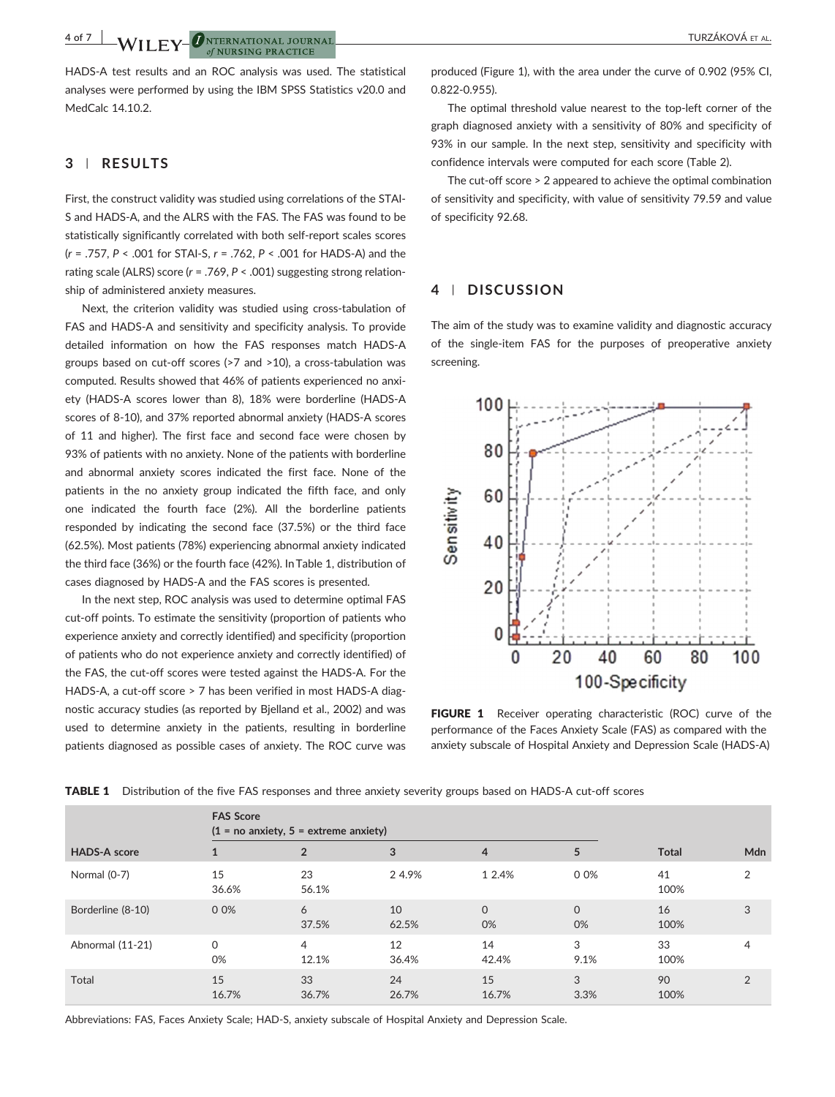4 of 7  $\blacksquare$   $\blacksquare$   $\blacksquare$   $\blacksquare$   $\blacksquare$   $\blacksquare$   $\blacksquare$   $\blacksquare$   $\blacksquare$   $\blacksquare$   $\blacksquare$   $\blacksquare$   $\blacksquare$   $\blacksquare$   $\blacksquare$   $\blacksquare$   $\blacksquare$   $\blacksquare$   $\blacksquare$   $\blacksquare$   $\blacksquare$   $\blacksquare$   $\blacksquare$   $\blacksquare$   $\blacksquare$   $\blacksquare$   $\blacksquare$   $\blacksquare$   $\blacksquare$   $\blacksquare$   $\blacks$ 

HADS‐A test results and an ROC analysis was used. The statistical analyses were performed by using the IBM SPSS Statistics v20.0 and MedCalc 14.10.2.

## 3 | RESULTS

First, the construct validity was studied using correlations of the STAI‐ S and HADS‐A, and the ALRS with the FAS. The FAS was found to be statistically significantly correlated with both self‐report scales scores (r = .757, P < .001 for STAI‐S, r = .762, P < .001 for HADS‐A) and the rating scale (ALRS) score (r = .769, P < .001) suggesting strong relationship of administered anxiety measures.

Next, the criterion validity was studied using cross-tabulation of FAS and HADS‐A and sensitivity and specificity analysis. To provide detailed information on how the FAS responses match HADS‐A groups based on cut-off scores (>7 and >10), a cross-tabulation was computed. Results showed that 46% of patients experienced no anxiety (HADS‐A scores lower than 8), 18% were borderline (HADS‐A scores of 8‐10), and 37% reported abnormal anxiety (HADS‐A scores of 11 and higher). The first face and second face were chosen by 93% of patients with no anxiety. None of the patients with borderline and abnormal anxiety scores indicated the first face. None of the patients in the no anxiety group indicated the fifth face, and only one indicated the fourth face (2%). All the borderline patients responded by indicating the second face (37.5%) or the third face (62.5%). Most patients (78%) experiencing abnormal anxiety indicated the third face (36%) or the fourth face (42%). In Table 1, distribution of cases diagnosed by HADS‐A and the FAS scores is presented.

In the next step, ROC analysis was used to determine optimal FAS cut-off points. To estimate the sensitivity (proportion of patients who experience anxiety and correctly identified) and specificity (proportion of patients who do not experience anxiety and correctly identified) of the FAS, the cut-off scores were tested against the HADS-A. For the HADS‐A, a cut‐off score > 7 has been verified in most HADS‐A diagnostic accuracy studies (as reported by Bjelland et al., 2002) and was used to determine anxiety in the patients, resulting in borderline patients diagnosed as possible cases of anxiety. The ROC curve was

produced (Figure 1), with the area under the curve of 0.902 (95% CI, 0.822‐0.955).

The optimal threshold value nearest to the top‐left corner of the graph diagnosed anxiety with a sensitivity of 80% and specificity of 93% in our sample. In the next step, sensitivity and specificity with confidence intervals were computed for each score (Table 2).

The cut-off score > 2 appeared to achieve the optimal combination of sensitivity and specificity, with value of sensitivity 79.59 and value of specificity 92.68.

# 4 | DISCUSSION

The aim of the study was to examine validity and diagnostic accuracy of the single‐item FAS for the purposes of preoperative anxiety screening.



FIGURE 1 Receiver operating characteristic (ROC) curve of the performance of the Faces Anxiety Scale (FAS) as compared with the anxiety subscale of Hospital Anxiety and Depression Scale (HADS‐A)

| <b>HADS-A score</b> | <b>FAS Score</b> | $(1 = no$ anxiety, $5 =$ extreme anxiety) |             |                   |                |              |                |
|---------------------|------------------|-------------------------------------------|-------------|-------------------|----------------|--------------|----------------|
|                     |                  |                                           | 3           | $\overline{4}$    | 5              | <b>Total</b> | Mdn            |
| Normal (0-7)        | 15<br>36.6%      | 23<br>56.1%                               | 2 4.9%      | 1 2.4%            | 0 0%           | 41<br>100%   | 2              |
| Borderline (8-10)   | 0 0%             | 6<br>37.5%                                | 10<br>62.5% | $\mathbf 0$<br>0% | $\Omega$<br>0% | 16<br>100%   | 3              |
| Abnormal (11-21)    | $\Omega$<br>0%   | 4<br>12.1%                                | 12<br>36.4% | 14<br>42.4%       | 3<br>9.1%      | 33<br>100%   | $\overline{4}$ |
| Total               | 15<br>16.7%      | 33<br>36.7%                               | 24<br>26.7% | 15<br>16.7%       | 3<br>3.3%      | 90<br>100%   | $\overline{2}$ |

TABLE 1 Distribution of the five FAS responses and three anxiety severity groups based on HADS-A cut-off scores

Abbreviations: FAS, Faces Anxiety Scale; HAD‐S, anxiety subscale of Hospital Anxiety and Depression Scale.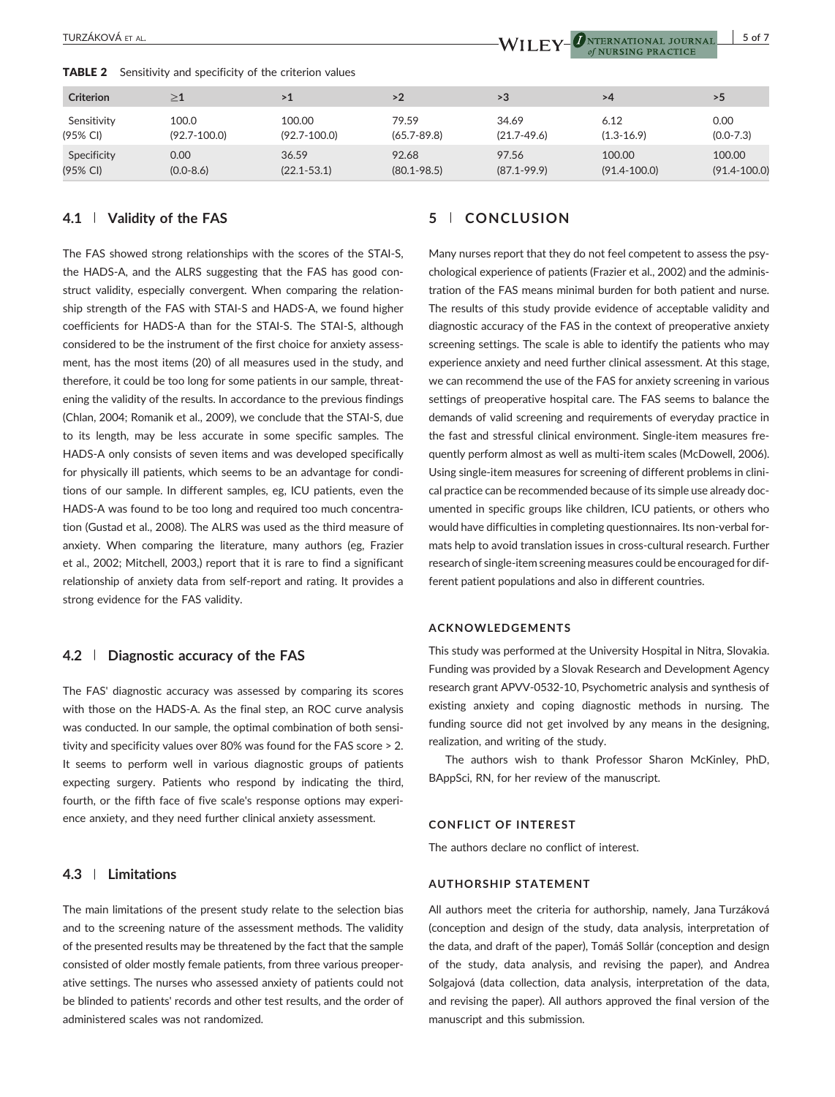**TABLE 2** Sensitivity and specificity of the criterion values

| <b>Criterion</b> | $\geq \! 1$      | >1               | >2              | >3              | >4               | >5               |
|------------------|------------------|------------------|-----------------|-----------------|------------------|------------------|
| Sensitivity      | 100.0            | 100.00           | 79.59           | 34.69           | 6.12             | 0.00             |
| (95% CI)         | $(92.7 - 100.0)$ | $(92.7 - 100.0)$ | $(65.7 - 89.8)$ | $(21.7 - 49.6)$ | $(1.3 - 16.9)$   | $(0.0 - 7.3)$    |
| Specificity      | 0.00             | 36.59            | 92.68           | 97.56           | 100.00           | 100.00           |
| (95% CI)         | $(0.0 - 8.6)$    | $(22.1 - 53.1)$  | $(80.1 - 98.5)$ | $(87.1 - 99.9)$ | $(91.4 - 100.0)$ | $(91.4 - 100.0)$ |

## 4.1 | Validity of the FAS

The FAS showed strong relationships with the scores of the STAI‐S, the HADS‐A, and the ALRS suggesting that the FAS has good construct validity, especially convergent. When comparing the relationship strength of the FAS with STAI‐S and HADS‐A, we found higher coefficients for HADS‐A than for the STAI‐S. The STAI‐S, although considered to be the instrument of the first choice for anxiety assessment, has the most items (20) of all measures used in the study, and therefore, it could be too long for some patients in our sample, threatening the validity of the results. In accordance to the previous findings (Chlan, 2004; Romanik et al., 2009), we conclude that the STAI‐S, due to its length, may be less accurate in some specific samples. The HADS‐A only consists of seven items and was developed specifically for physically ill patients, which seems to be an advantage for conditions of our sample. In different samples, eg, ICU patients, even the HADS‐A was found to be too long and required too much concentration (Gustad et al., 2008). The ALRS was used as the third measure of anxiety. When comparing the literature, many authors (eg, Frazier et al., 2002; Mitchell, 2003,) report that it is rare to find a significant relationship of anxiety data from self‐report and rating. It provides a strong evidence for the FAS validity.

## 4.2 | Diagnostic accuracy of the FAS

The FAS' diagnostic accuracy was assessed by comparing its scores with those on the HADS‐A. As the final step, an ROC curve analysis was conducted. In our sample, the optimal combination of both sensitivity and specificity values over 80% was found for the FAS score > 2. It seems to perform well in various diagnostic groups of patients expecting surgery. Patients who respond by indicating the third, fourth, or the fifth face of five scale's response options may experience anxiety, and they need further clinical anxiety assessment.

## 4.3 | Limitations

The main limitations of the present study relate to the selection bias and to the screening nature of the assessment methods. The validity of the presented results may be threatened by the fact that the sample consisted of older mostly female patients, from three various preoperative settings. The nurses who assessed anxiety of patients could not be blinded to patients' records and other test results, and the order of administered scales was not randomized.

# 5 | CONCLUSION

Many nurses report that they do not feel competent to assess the psychological experience of patients (Frazier et al., 2002) and the administration of the FAS means minimal burden for both patient and nurse. The results of this study provide evidence of acceptable validity and diagnostic accuracy of the FAS in the context of preoperative anxiety screening settings. The scale is able to identify the patients who may experience anxiety and need further clinical assessment. At this stage, we can recommend the use of the FAS for anxiety screening in various settings of preoperative hospital care. The FAS seems to balance the demands of valid screening and requirements of everyday practice in the fast and stressful clinical environment. Single‐item measures frequently perform almost as well as multi‐item scales (McDowell, 2006). Using single‐item measures for screening of different problems in clinical practice can be recommended because of its simple use already documented in specific groups like children, ICU patients, or others who would have difficulties in completing questionnaires. Its non‐verbal formats help to avoid translation issues in cross-cultural research. Further research of single‐item screening measures could be encouraged for different patient populations and also in different countries.

#### ACKNOWLEDGEMENTS

This study was performed at the University Hospital in Nitra, Slovakia. Funding was provided by a Slovak Research and Development Agency research grant APVV‐0532‐10, Psychometric analysis and synthesis of existing anxiety and coping diagnostic methods in nursing. The funding source did not get involved by any means in the designing, realization, and writing of the study.

The authors wish to thank Professor Sharon McKinley, PhD, BAppSci, RN, for her review of the manuscript.

#### CONFLICT OF INTEREST

The authors declare no conflict of interest.

#### AUTHORSHIP STATEMENT

All authors meet the criteria for authorship, namely, Jana Turzáková (conception and design of the study, data analysis, interpretation of the data, and draft of the paper), Tomáš Sollár (conception and design of the study, data analysis, and revising the paper), and Andrea Solgajová (data collection, data analysis, interpretation of the data, and revising the paper). All authors approved the final version of the manuscript and this submission.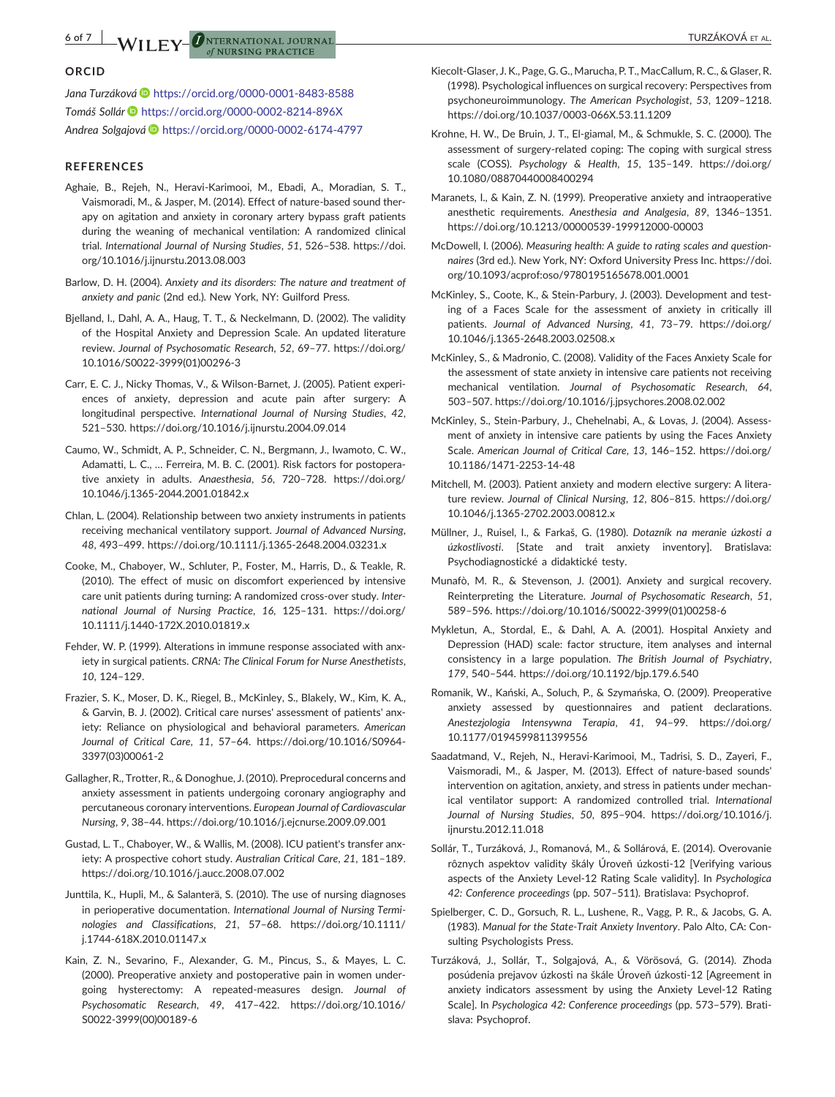## ORCID

Jana Turzáková i <https://orcid.org/0000-0001-8483-8588> Tomáš Sollár <https://orcid.org/0000-0002-8214-896X> Andrea Solgajová i <https://orcid.org/0000-0002-6174-4797>

of NURSING PRACTICE

#### REFERENCES

- Aghaie, B., Rejeh, N., Heravi‐Karimooi, M., Ebadi, A., Moradian, S. T., Vaismoradi, M., & Jasper, M. (2014). Effect of nature‐based sound therapy on agitation and anxiety in coronary artery bypass graft patients during the weaning of mechanical ventilation: A randomized clinical trial. International Journal of Nursing Studies, 51, 526–538. [https://doi.](https://doi.org/10.1016/j.ijnurstu.2013.08.003) [org/10.1016/j.ijnurstu.2013.08.003](https://doi.org/10.1016/j.ijnurstu.2013.08.003)
- Barlow, D. H. (2004). Anxiety and its disorders: The nature and treatment of anxiety and panic (2nd ed.). New York, NY: Guilford Press.
- Bjelland, I., Dahl, A. A., Haug, T. T., & Neckelmann, D. (2002). The validity of the Hospital Anxiety and Depression Scale. An updated literature review. Journal of Psychosomatic Research, 52, 69–77. [https://doi.org/](https://doi.org/10.1016/S0022-3999(01)00296-3) [10.1016/S0022](https://doi.org/10.1016/S0022-3999(01)00296-3)‐3999(01)00296‐3
- Carr, E. C. J., Nicky Thomas, V., & Wilson‐Barnet, J. (2005). Patient experiences of anxiety, depression and acute pain after surgery: A longitudinal perspective. International Journal of Nursing Studies, 42, 521–530.<https://doi.org/10.1016/j.ijnurstu.2004.09.014>
- Caumo, W., Schmidt, A. P., Schneider, C. N., Bergmann, J., Iwamoto, C. W., Adamatti, L. C., … Ferreira, M. B. C. (2001). Risk factors for postoperative anxiety in adults. Anaesthesia, 56, 720–728. [https://doi.org/](https://doi.org/10.1046/j.1365-2044.2001.01842.x) 10.1046/j.1365‐[2044.2001.01842.x](https://doi.org/10.1046/j.1365-2044.2001.01842.x)
- Chlan, L. (2004). Relationship between two anxiety instruments in patients receiving mechanical ventilatory support. Journal of Advanced Nursing, 48, 493–499. [https://doi.org/10.1111/j.1365](https://doi.org/10.1111/j.1365-2648.2004.03231.x)‐2648.2004.03231.x
- Cooke, M., Chaboyer, W., Schluter, P., Foster, M., Harris, D., & Teakle, R. (2010). The effect of music on discomfort experienced by intensive care unit patients during turning: A randomized cross‐over study. International Journal of Nursing Practice, 16, 125–131. [https://doi.org/](https://doi.org/10.1111/j.1440-172X.2010.01819.x) 10.1111/j.1440‐[172X.2010.01819.x](https://doi.org/10.1111/j.1440-172X.2010.01819.x)
- Fehder, W. P. (1999). Alterations in immune response associated with anxiety in surgical patients. CRNA: The Clinical Forum for Nurse Anesthetists, 10, 124–129.
- Frazier, S. K., Moser, D. K., Riegel, B., McKinley, S., Blakely, W., Kim, K. A., & Garvin, B. J. (2002). Critical care nurses' assessment of patients' anxiety: Reliance on physiological and behavioral parameters. American Journal of Critical Care, 11, 57–64. [https://doi.org/10.1016/S0964](https://doi.org/10.1016/S0964-3397(03)00061-2)‐ [3397\(03\)00061](https://doi.org/10.1016/S0964-3397(03)00061-2)‐2
- Gallagher, R., Trotter, R., & Donoghue, J. (2010). Preprocedural concerns and anxiety assessment in patients undergoing coronary angiography and percutaneous coronary interventions. European Journal of Cardiovascular Nursing, 9, 38–44.<https://doi.org/10.1016/j.ejcnurse.2009.09.001>
- Gustad, L. T., Chaboyer, W., & Wallis, M. (2008). ICU patient's transfer anxiety: A prospective cohort study. Australian Critical Care, 21, 181–189. <https://doi.org/10.1016/j.aucc.2008.07.002>
- Junttila, K., Hupli, M., & Salanterä, S. (2010). The use of nursing diagnoses in perioperative documentation. International Journal of Nursing Terminologies and Classifications, 21, 57–68. [https://doi.org/10.1111/](https://doi.org/10.1111/j.1744-618X.2010.01147.x) j.1744‐[618X.2010.01147.x](https://doi.org/10.1111/j.1744-618X.2010.01147.x)
- Kain, Z. N., Sevarino, F., Alexander, G. M., Pincus, S., & Mayes, L. C. (2000). Preoperative anxiety and postoperative pain in women undergoing hysterectomy: A repeated‐measures design. Journal of Psychosomatic Research, 49, 417–422. [https://doi.org/10.1016/](https://doi.org/10.1016/S0022-3999(00)00189-6) S0022‐[3999\(00\)00189](https://doi.org/10.1016/S0022-3999(00)00189-6)‐6
- Kiecolt‐Glaser, J. K., Page, G. G., Marucha, P. T., MacCallum, R. C., & Glaser, R. (1998). Psychological influences on surgical recovery: Perspectives from psychoneuroimmunology. The American Psychologist, 53, 1209–1218. [https://doi.org/10.1037/0003](https://doi.org/10.1037/0003-066X.53.11.1209)‐066X.53.11.1209
- Krohne, H. W., De Bruin, J. T., El‐giamal, M., & Schmukle, S. C. (2000). The assessment of surgery‐related coping: The coping with surgical stress scale (COSS). Psychology & Health, 15, 135–149. [https://doi.org/](https://doi.org/10.1080/08870440008400294) [10.1080/08870440008400294](https://doi.org/10.1080/08870440008400294)
- Maranets, I., & Kain, Z. N. (1999). Preoperative anxiety and intraoperative anesthetic requirements. Anesthesia and Analgesia, 89, 1346–1351. [https://doi.org/10.1213/00000539](https://doi.org/10.1213/00000539-199912000-00003)‐199912000‐00003
- McDowell, I. (2006). Measuring health: A guide to rating scales and questionnaires (3rd ed.). New York, NY: Oxford University Press Inc. [https://doi.](https://doi.org/10.1093/acprof:oso/9780195165678.001.0001) [org/10.1093/acprof:oso/9780195165678.001.0001](https://doi.org/10.1093/acprof:oso/9780195165678.001.0001)
- McKinley, S., Coote, K., & Stein‐Parbury, J. (2003). Development and testing of a Faces Scale for the assessment of anxiety in critically ill patients. Journal of Advanced Nursing, 41, 73–79. [https://doi.org/](https://doi.org/10.1046/j.1365-2648.2003.02508.x) 10.1046/j.1365‐[2648.2003.02508.x](https://doi.org/10.1046/j.1365-2648.2003.02508.x)
- McKinley, S., & Madronio, C. (2008). Validity of the Faces Anxiety Scale for the assessment of state anxiety in intensive care patients not receiving mechanical ventilation. Journal of Psychosomatic Research, 64, 503–507.<https://doi.org/10.1016/j.jpsychores.2008.02.002>
- McKinley, S., Stein‐Parbury, J., Chehelnabi, A., & Lovas, J. (2004). Assessment of anxiety in intensive care patients by using the Faces Anxiety Scale. American Journal of Critical Care, 13, 146–152. [https://doi.org/](https://doi.org/10.1186/1471-2253-14-48) [10.1186/1471](https://doi.org/10.1186/1471-2253-14-48)‐2253‐14‐48
- Mitchell, M. (2003). Patient anxiety and modern elective surgery: A literature review. Journal of Clinical Nursing, 12, 806–815. [https://doi.org/](https://doi.org/10.1046/j.1365-2702.2003.00812.x) 10.1046/j.1365‐[2702.2003.00812.x](https://doi.org/10.1046/j.1365-2702.2003.00812.x)
- Müllner, J., Ruisel, I., & Farkaš, G. (1980). Dotazník na meranie úzkosti a úzkostlivosti. [State and trait anxiety inventory]. Bratislava: Psychodiagnostické a didaktické testy.
- Munafò, M. R., & Stevenson, J. (2001). Anxiety and surgical recovery. Reinterpreting the Literature. Journal of Psychosomatic Research, 51, 589–596. [https://doi.org/10.1016/S0022](https://doi.org/10.1016/S0022-3999(01)00258-6)‐3999(01)00258‐6
- Mykletun, A., Stordal, E., & Dahl, A. A. (2001). Hospital Anxiety and Depression (HAD) scale: factor structure, item analyses and internal consistency in a large population. The British Journal of Psychiatry, 179, 540–544.<https://doi.org/10.1192/bjp.179.6.540>
- Romanik, W., Kański, A., Soluch, P., & Szymańska, O. (2009). Preoperative anxiety assessed by questionnaires and patient declarations. Anestezjologia Intensywna Terapia, 41, 94–99. [https://doi.org/](https://doi.org/10.1177/0194599811399556) [10.1177/0194599811399556](https://doi.org/10.1177/0194599811399556)
- Saadatmand, V., Rejeh, N., Heravi‐Karimooi, M., Tadrisi, S. D., Zayeri, F., Vaismoradi, M., & Jasper, M. (2013). Effect of nature‐based sounds' intervention on agitation, anxiety, and stress in patients under mechanical ventilator support: A randomized controlled trial. International Journal of Nursing Studies, 50, 895–904. [https://doi.org/10.1016/j.](https://doi.org/10.1016/j.ijnurstu.2012.11.018) [ijnurstu.2012.11.018](https://doi.org/10.1016/j.ijnurstu.2012.11.018)
- Sollár, T., Turzáková, J., Romanová, M., & Sollárová, E. (2014). Overovanie rôznych aspektov validity škály Úroveň úzkosti‐12 [Verifying various aspects of the Anxiety Level‐12 Rating Scale validity]. In Psychologica 42: Conference proceedings (pp. 507–511). Bratislava: Psychoprof.
- Spielberger, C. D., Gorsuch, R. L., Lushene, R., Vagg, P. R., & Jacobs, G. A. (1983). Manual for the State‐Trait Anxiety Inventory. Palo Alto, CA: Consulting Psychologists Press.
- Turzáková, J., Sollár, T., Solgajová, A., & Vörösová, G. (2014). Zhoda posúdenia prejavov úzkosti na škále Úroveň úzkosti‐12 [Agreement in anxiety indicators assessment by using the Anxiety Level‐12 Rating Scale]. In Psychologica 42: Conference proceedings (pp. 573–579). Bratislava: Psychoprof.